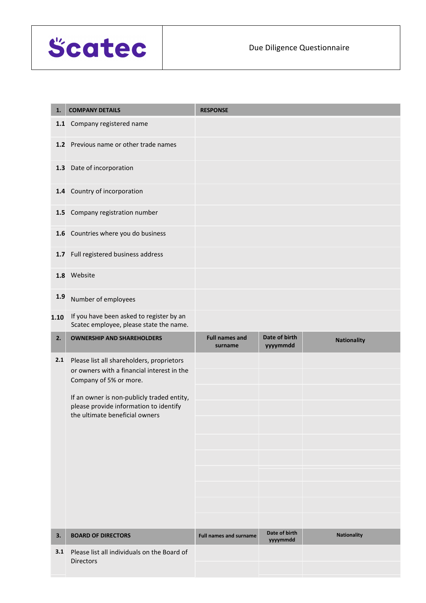

| 1.    | <b>COMPANY DETAILS</b>                                                                  | <b>RESPONSE</b>                  |                           |                    |
|-------|-----------------------------------------------------------------------------------------|----------------------------------|---------------------------|--------------------|
| $1.1$ | Company registered name                                                                 |                                  |                           |                    |
|       | 1.2 Previous name or other trade names                                                  |                                  |                           |                    |
| 1.3   | Date of incorporation                                                                   |                                  |                           |                    |
| 1.4   | Country of incorporation                                                                |                                  |                           |                    |
| 1.5   | Company registration number                                                             |                                  |                           |                    |
|       | 1.6 Countries where you do business                                                     |                                  |                           |                    |
| 1.7   | Full registered business address                                                        |                                  |                           |                    |
|       | 1.8 Website                                                                             |                                  |                           |                    |
| 1.9   | Number of employees                                                                     |                                  |                           |                    |
| 1.10  | If you have been asked to register by an<br>Scatec employee, please state the name.     |                                  |                           |                    |
| 2.    | <b>OWNERSHIP AND SHAREHOLDERS</b>                                                       | <b>Full names and</b><br>surname | Date of birth<br>yyyymmdd | <b>Nationality</b> |
| 2.1   | Please list all shareholders, proprietors<br>or owners with a financial interest in the |                                  |                           |                    |
|       | Company of 5% or more.                                                                  |                                  |                           |                    |
|       | If an owner is non-publicly traded entity,<br>please provide information to identify    |                                  |                           |                    |
|       | the ultimate beneficial owners                                                          |                                  |                           |                    |
|       |                                                                                         |                                  |                           |                    |
|       |                                                                                         |                                  |                           |                    |
|       |                                                                                         |                                  |                           |                    |
|       |                                                                                         |                                  |                           |                    |
|       |                                                                                         |                                  |                           |                    |
|       |                                                                                         |                                  |                           |                    |
| 3.    | <b>BOARD OF DIRECTORS</b>                                                               | <b>Full names and surname</b>    | Date of birth<br>yyyymmdd | <b>Nationality</b> |
| 3.1   | Please list all individuals on the Board of<br><b>Directors</b>                         |                                  |                           |                    |
|       |                                                                                         |                                  |                           |                    |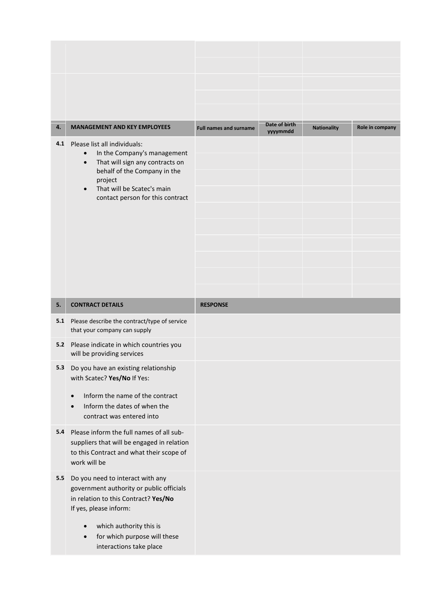|     |                                                                                                                                                                     |                               | Date of birth |                    |                 |
|-----|---------------------------------------------------------------------------------------------------------------------------------------------------------------------|-------------------------------|---------------|--------------------|-----------------|
| 4.  | <b>MANAGEMENT AND KEY EMPLOYEES</b>                                                                                                                                 | <b>Full names and surname</b> | yyyymmdd      | <b>Nationality</b> | Role in company |
| 4.1 | Please list all individuals:<br>In the Company's management<br>$\bullet$<br>That will sign any contracts on<br>$\bullet$<br>behalf of the Company in the<br>project |                               |               |                    |                 |
|     |                                                                                                                                                                     |                               |               |                    |                 |
|     |                                                                                                                                                                     |                               |               |                    |                 |
|     | That will be Scatec's main<br>$\bullet$<br>contact person for this contract                                                                                         |                               |               |                    |                 |
|     |                                                                                                                                                                     |                               |               |                    |                 |
|     |                                                                                                                                                                     |                               |               |                    |                 |
|     |                                                                                                                                                                     |                               |               |                    |                 |
|     |                                                                                                                                                                     |                               |               |                    |                 |
|     |                                                                                                                                                                     |                               |               |                    |                 |
|     |                                                                                                                                                                     |                               |               |                    |                 |
|     |                                                                                                                                                                     |                               |               |                    |                 |
|     |                                                                                                                                                                     |                               |               |                    |                 |
| 5.  | <b>CONTRACT DETAILS</b>                                                                                                                                             | <b>RESPONSE</b>               |               |                    |                 |
| 5.1 | Please describe the contract/type of service<br>that your company can supply                                                                                        |                               |               |                    |                 |
| 5.2 | Please indicate in which countries you<br>will be providing services                                                                                                |                               |               |                    |                 |
| 5.3 | Do you have an existing relationship<br>with Scatec? Yes/No If Yes:                                                                                                 |                               |               |                    |                 |
|     | Inform the name of the contract<br>$\bullet$                                                                                                                        |                               |               |                    |                 |
|     | Inform the dates of when the<br>contract was entered into                                                                                                           |                               |               |                    |                 |
| 5.4 | Please inform the full names of all sub-                                                                                                                            |                               |               |                    |                 |
|     | suppliers that will be engaged in relation                                                                                                                          |                               |               |                    |                 |
|     | to this Contract and what their scope of<br>work will be                                                                                                            |                               |               |                    |                 |
| 5.5 | Do you need to interact with any                                                                                                                                    |                               |               |                    |                 |
|     | government authority or public officials                                                                                                                            |                               |               |                    |                 |
|     | in relation to this Contract? Yes/No<br>If yes, please inform:                                                                                                      |                               |               |                    |                 |
|     | $\bullet$                                                                                                                                                           |                               |               |                    |                 |
|     | which authority this is<br>for which purpose will these<br>$\bullet$<br>interactions take place                                                                     |                               |               |                    |                 |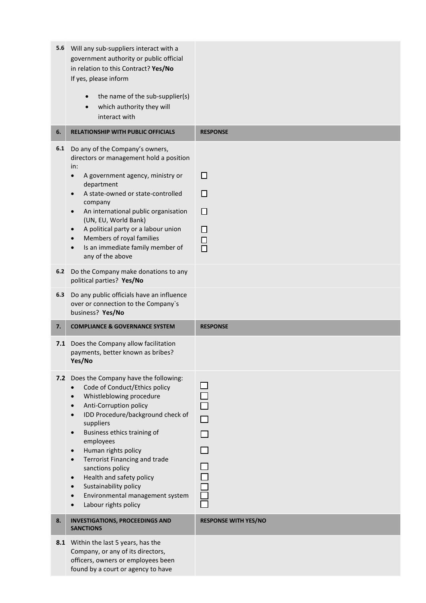| 5.6        | Will any sub-suppliers interact with a<br>government authority or public official<br>in relation to this Contract? Yes/No<br>If yes, please inform                                                                                                                                                                                                                                                                                                                                                                                       |                                 |
|------------|------------------------------------------------------------------------------------------------------------------------------------------------------------------------------------------------------------------------------------------------------------------------------------------------------------------------------------------------------------------------------------------------------------------------------------------------------------------------------------------------------------------------------------------|---------------------------------|
|            | the name of the sub-supplier(s)<br>which authority they will<br>interact with                                                                                                                                                                                                                                                                                                                                                                                                                                                            |                                 |
| 6.         | <b>RELATIONSHIP WITH PUBLIC OFFICIALS</b>                                                                                                                                                                                                                                                                                                                                                                                                                                                                                                | <b>RESPONSE</b>                 |
| 6.1<br>6.2 | Do any of the Company's owners,<br>directors or management hold a position<br>in:<br>A government agency, ministry or<br>$\bullet$<br>department<br>A state-owned or state-controlled<br>$\bullet$<br>company<br>An international public organisation<br>$\bullet$<br>(UN, EU, World Bank)<br>A political party or a labour union<br>Members of royal families<br>Is an immediate family member of<br>any of the above<br>Do the Company make donations to any<br>political parties? Yes/No                                              | $\Box$<br>П<br>П<br>П<br>口<br>口 |
| 6.3        | Do any public officials have an influence<br>over or connection to the Company's<br>business? Yes/No                                                                                                                                                                                                                                                                                                                                                                                                                                     |                                 |
| 7.         | <b>COMPLIANCE &amp; GOVERNANCE SYSTEM</b>                                                                                                                                                                                                                                                                                                                                                                                                                                                                                                | <b>RESPONSE</b>                 |
| 7.1        | Does the Company allow facilitation<br>payments, better known as bribes?<br>Yes/No                                                                                                                                                                                                                                                                                                                                                                                                                                                       |                                 |
|            | 7.2 Does the Company have the following:<br>Code of Conduct/Ethics policy<br>$\bullet$<br>Whistleblowing procedure<br>$\bullet$<br>Anti-Corruption policy<br>$\bullet$<br>IDD Procedure/background check of<br>$\bullet$<br>suppliers<br>Business ethics training of<br>$\bullet$<br>employees<br>Human rights policy<br>$\bullet$<br><b>Terrorist Financing and trade</b><br>$\bullet$<br>sanctions policy<br>Health and safety policy<br>$\bullet$<br>Sustainability policy<br>Environmental management system<br>Labour rights policy |                                 |
| 8.         | <b>INVESTIGATIONS, PROCEEDINGS AND</b><br><b>SANCTIONS</b>                                                                                                                                                                                                                                                                                                                                                                                                                                                                               | <b>RESPONSE WITH YES/NO</b>     |
| 8.1        | Within the last 5 years, has the<br>Company, or any of its directors,<br>officers, owners or employees been<br>found by a court or agency to have                                                                                                                                                                                                                                                                                                                                                                                        |                                 |